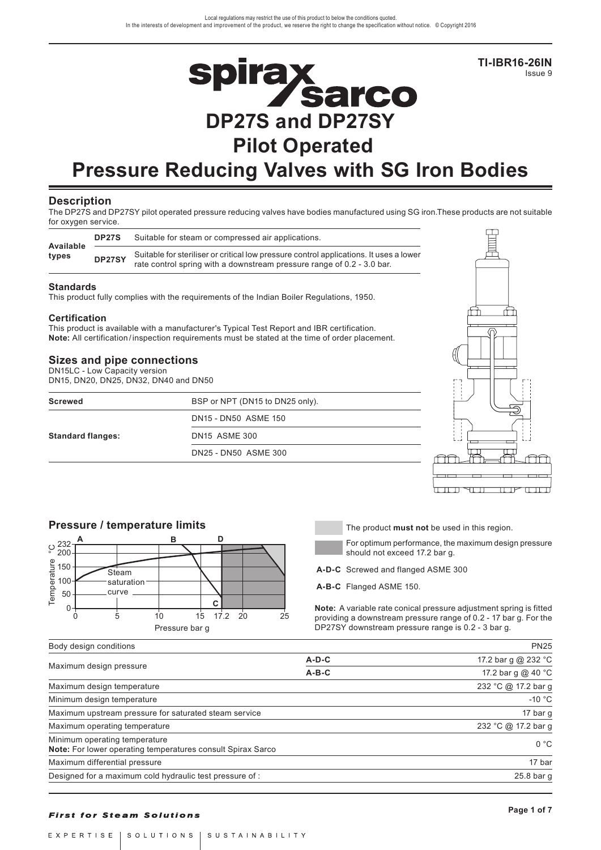**TI-IBR16-26IN** Issue 9

# **Spirax<br>DP27S and DP27SY Pilot Operated**

# **Pressure Reducing Valves with SG Iron Bodies**

#### **Description**

The DP27S and DP27SY pilot operated pressure reducing valves have bodies manufactured using SG iron.These products are not suitable for oxygen service.

| Available | DP <sub>27</sub> S | Suitable for steam or compressed air applications.                                                                                                               |
|-----------|--------------------|------------------------------------------------------------------------------------------------------------------------------------------------------------------|
| types     | DP27SY             | Suitable for steriliser or critical low pressure control applications. It uses a lower<br>rate control spring with a downstream pressure range of 0.2 - 3.0 bar. |

#### **Standards**

This product fully complies with the requirements of the Indian Boiler Regulations, 1950.

#### **Certification**

This product is available with a manufacturer's Typical Test Report and IBR certification. **Note:** All certification / inspection requirements must be stated at the time of order placement.

## **Sizes and pipe connections**

| Sizes and pipe connections<br>DN15LC - Low Capacity version<br>DN15, DN20, DN25, DN32, DN40 and DN50 |                                 |  |
|------------------------------------------------------------------------------------------------------|---------------------------------|--|
| <b>Screwed</b>                                                                                       | BSP or NPT (DN15 to DN25 only). |  |
|                                                                                                      | DN15 - DN50 ASME 150            |  |
| <b>Standard flanges:</b>                                                                             | <b>DN15 ASME 300</b>            |  |
|                                                                                                      | DN25 - DN50 ASME 300            |  |
|                                                                                                      |                                 |  |





For optimum performance, the maximum design pressure should not exceed 17.2 bar g.

**A-D-C** Screwed and flanged ASME 300

**A-B-C** Flanged ASME 150.

**Note:** A variable rate conical pressure adjustment spring is fitted providing a downstream pressure range of 0.2 - 17 bar g. For the DP27SY downstream pressure range is 0.2 - 3 bar g.

| Body design conditions | ついつら |
|------------------------|------|

|                                                                                              | $A-D-C$ | 17.2 bar g @ 232 °C  |
|----------------------------------------------------------------------------------------------|---------|----------------------|
| Maximum design pressure                                                                      | $A-B-C$ | 17.2 bar g $@$ 40 °C |
| Maximum design temperature                                                                   |         | 232 °C @ 17.2 bar g  |
| Minimum design temperature                                                                   |         | $-10 °C$             |
| Maximum upstream pressure for saturated steam service                                        |         | 17 bar g             |
| Maximum operating temperature                                                                |         | 232 °C @ 17.2 bar g  |
| Minimum operating temperature<br>Note: For lower operating temperatures consult Spirax Sarco |         | 0 °C                 |
| Maximum differential pressure                                                                |         | 17 bar               |
| Designed for a maximum cold hydraulic test pressure of :                                     |         | 25.8 bar q           |

#### **First for Steam Solutions**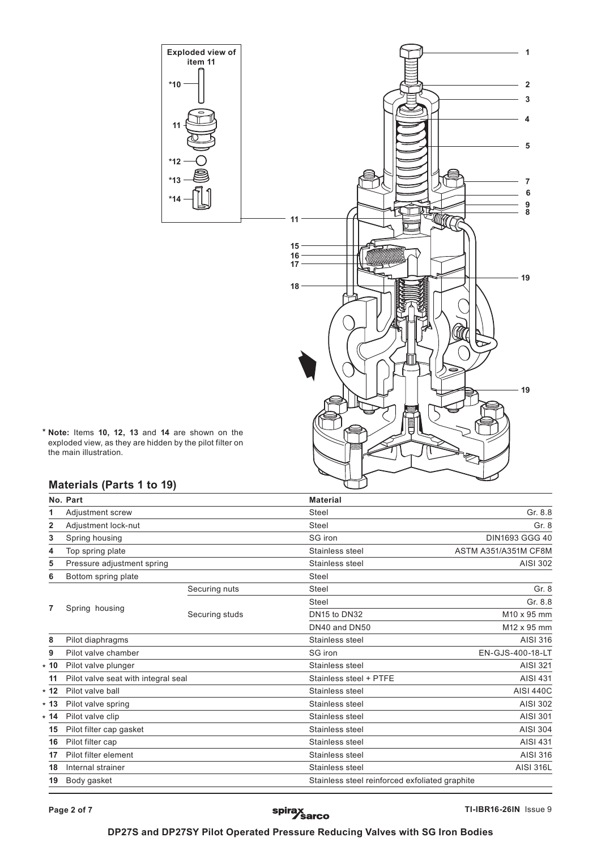

**\* Note:** Items **10, 12, 13** and **14** are shown on the exploded view, as they are hidden by the pilot filter on the main illustration.

# **Materials (Parts 1 to 19)**

|         | No. Part                            |                | <b>Material</b>                                |                      |
|---------|-------------------------------------|----------------|------------------------------------------------|----------------------|
|         | Adjustment screw                    |                | Steel                                          | Gr. 8.8              |
| 2       | Adjustment lock-nut                 |                | Steel                                          | Gr. 8                |
| 3       | Spring housing                      |                | SG iron                                        | DIN1693 GGG 40       |
| 4       | Top spring plate                    |                | Stainless steel                                | ASTM A351/A351M CF8M |
| 5       | Pressure adjustment spring          |                | Stainless steel                                | AISI 302             |
| 6       | Bottom spring plate                 |                | Steel                                          |                      |
|         |                                     | Securing nuts  | Steel                                          | Gr. 8                |
|         |                                     |                | Steel                                          | Gr. 8.8              |
| 7       | Spring housing                      | Securing studs | DN15 to DN32                                   | M10 x 95 mm          |
|         |                                     |                | DN40 and DN50                                  | M12 x 95 mm          |
| 8       | Pilot diaphragms                    |                | Stainless steel                                | AISI 316             |
| 9       | Pilot valve chamber                 |                | SG iron                                        | EN-GJS-400-18-LT     |
| 10<br>¥ | Pilot valve plunger                 |                | Stainless steel                                | AISI 321             |
| 11      | Pilot valve seat with integral seal |                | Stainless steel + PTFE                         | <b>AISI 431</b>      |
| 12<br>¥ | Pilot valve ball                    |                | Stainless steel                                | <b>AISI 440C</b>     |
| * 13    | Pilot valve spring                  |                | Stainless steel                                | AISI 302             |
| * 14    | Pilot valve clip                    |                | Stainless steel                                | <b>AISI 301</b>      |
| 15      | Pilot filter cap gasket             |                | Stainless steel                                | <b>AISI 304</b>      |
| 16      | Pilot filter cap                    |                | Stainless steel                                | <b>AISI 431</b>      |
| 17      | Pilot filter element                |                | Stainless steel                                | AISI 316             |
| 18      | Internal strainer                   |                | Stainless steel                                | <b>AISI 316L</b>     |
| 19      | Body gasket                         |                | Stainless steel reinforced exfoliated graphite |                      |

# spirax<br>Sarco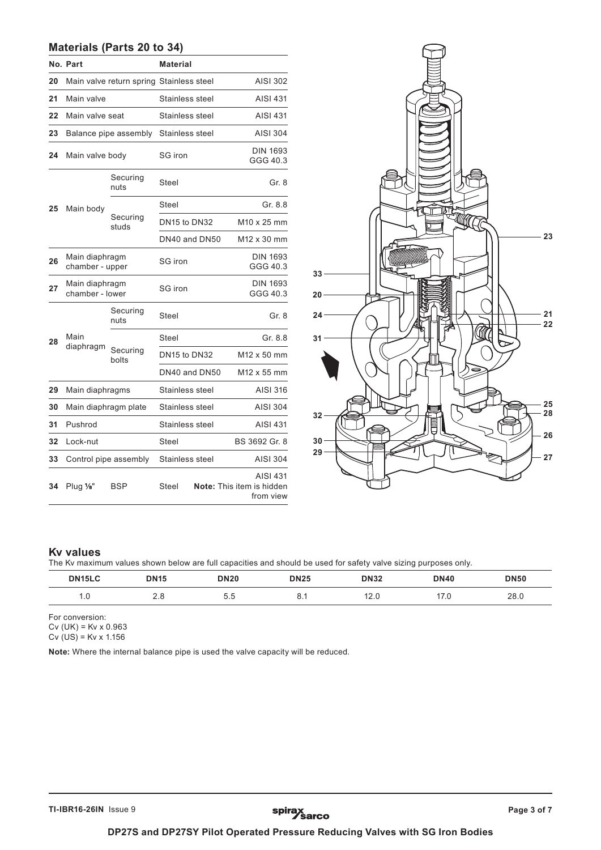# **Materials (Parts 20 to 34)**

|    | No. Part                          | <b>Material</b>                          |                 |  |                                                    |  |  |  |  |  |  |  |  |  |  |  |             |
|----|-----------------------------------|------------------------------------------|-----------------|--|----------------------------------------------------|--|--|--|--|--|--|--|--|--|--|--|-------------|
| 20 |                                   | Main valve return spring Stainless steel |                 |  | AISI 302                                           |  |  |  |  |  |  |  |  |  |  |  |             |
| 21 | Main valve                        |                                          | Stainless steel |  | <b>AISI 431</b>                                    |  |  |  |  |  |  |  |  |  |  |  |             |
| 22 | Main valve seat                   |                                          | Stainless steel |  | <b>AISI 431</b>                                    |  |  |  |  |  |  |  |  |  |  |  |             |
| 23 |                                   | Balance pipe assembly                    | Stainless steel |  | <b>AISI 304</b>                                    |  |  |  |  |  |  |  |  |  |  |  |             |
| 24 | Main valve body                   |                                          | SG iron         |  | <b>DIN 1693</b><br>GGG 40.3                        |  |  |  |  |  |  |  |  |  |  |  |             |
|    |                                   | Securing<br>nuts                         | Steel           |  | Gr. 8                                              |  |  |  |  |  |  |  |  |  |  |  |             |
| 25 | Main body                         |                                          | Steel           |  | Gr. 8.8                                            |  |  |  |  |  |  |  |  |  |  |  |             |
|    | Securing<br>studs                 |                                          | DN15 to DN32    |  | M <sub>10</sub> x 25 mm                            |  |  |  |  |  |  |  |  |  |  |  |             |
|    |                                   |                                          | DN40 and DN50   |  |                                                    |  |  |  |  |  |  |  |  |  |  |  | M12 x 30 mm |
| 26 | Main diaphragm<br>chamber - upper |                                          | SG iron         |  | <b>DIN 1693</b><br>GGG 40.3                        |  |  |  |  |  |  |  |  |  |  |  |             |
| 27 | Main diaphragm<br>chamber - lower |                                          | SG iron         |  | <b>DIN 1693</b><br>GGG 40.3                        |  |  |  |  |  |  |  |  |  |  |  |             |
|    |                                   | Securing<br>nuts                         | Steel           |  | Gr. 8                                              |  |  |  |  |  |  |  |  |  |  |  |             |
| 28 | Main                              |                                          | Steel           |  | Gr. 8.8                                            |  |  |  |  |  |  |  |  |  |  |  |             |
|    | diaphragm                         | Securing<br>bolts                        | DN15 to DN32    |  | M12 x 50 mm                                        |  |  |  |  |  |  |  |  |  |  |  |             |
|    |                                   |                                          | DN40 and DN50   |  | M12 x 55 mm                                        |  |  |  |  |  |  |  |  |  |  |  |             |
| 29 | Main diaphragms                   |                                          | Stainless steel |  | AISI 316                                           |  |  |  |  |  |  |  |  |  |  |  |             |
| 30 | Main diaphragm plate              |                                          | Stainless steel |  | <b>AISI 304</b>                                    |  |  |  |  |  |  |  |  |  |  |  |             |
| 31 | Pushrod                           |                                          | Stainless steel |  | <b>AISI 431</b>                                    |  |  |  |  |  |  |  |  |  |  |  |             |
| 32 | Lock-nut                          |                                          | Steel           |  | BS 3692 Gr. 8                                      |  |  |  |  |  |  |  |  |  |  |  |             |
| 33 |                                   | Control pipe assembly                    | Stainless steel |  | AISI 304                                           |  |  |  |  |  |  |  |  |  |  |  |             |
| 34 | Plug $\frac{1}{8}$                | BSP                                      | Steel           |  | AISI 431<br>Note: This item is hidden<br>from view |  |  |  |  |  |  |  |  |  |  |  |             |



#### **Kv values**

The Kv maximum values shown below are full capacities and should be used for safety valve sizing purposes only.

| DN <sub>15</sub> LC | <b>DN15</b>     | <b>DN20</b>                          | <b>DN25</b> | <b>DN32</b> | <b>DN40</b> | <b>DN50</b> |
|---------------------|-----------------|--------------------------------------|-------------|-------------|-------------|-------------|
| $\cdot\,$           | $\Omega$<br>2.0 | Б<br>$\overline{\phantom{a}}$<br>ບ.ບ | ◡.          | 10<br>12.U  | 17.U        | 28.0        |

For conversion: Cv (UK) = Kv x 0.963

Cv (US) = Kv x 1.156

**Note:** Where the internal balance pipe is used the valve capacity will be reduced.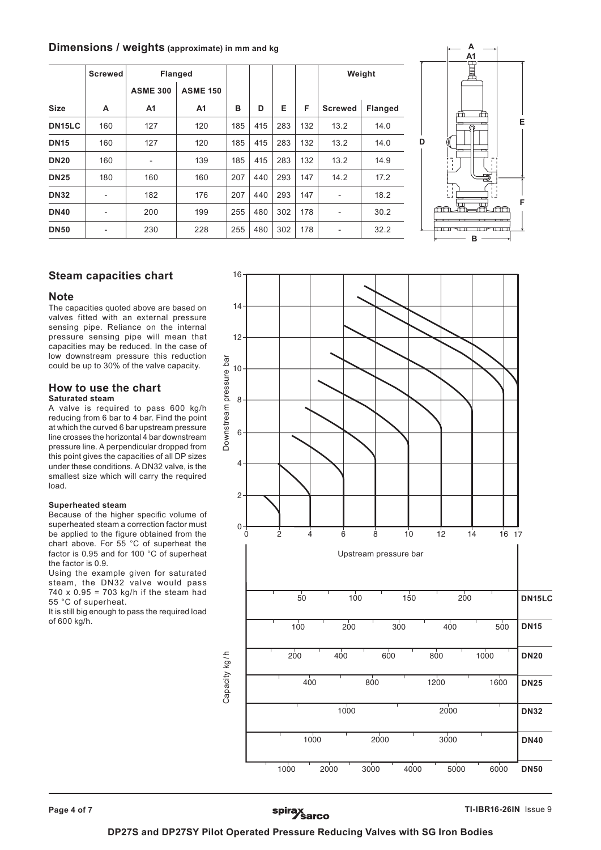## **Dimensions / weights (approximate) in mm and kg**

|                     | <b>Screwed</b><br><b>Flanged</b> |                              |                 |     |     |     |     | Weight                       |                |  |
|---------------------|----------------------------------|------------------------------|-----------------|-----|-----|-----|-----|------------------------------|----------------|--|
|                     |                                  | <b>ASME 300</b>              | <b>ASME 150</b> |     |     |     |     |                              |                |  |
| <b>Size</b>         | A                                | A1                           | A <sub>1</sub>  | в   | D   | Е   | F   | <b>Screwed</b>               | <b>Flanged</b> |  |
| DN <sub>15</sub> LC | 160                              | 127                          | 120             | 185 | 415 | 283 | 132 | 13.2                         | 14.0           |  |
| <b>DN15</b>         | 160                              | 127                          | 120             | 185 | 415 | 283 | 132 | 13.2                         | 14.0           |  |
| <b>DN20</b>         | 160                              | $\qquad \qquad \blacksquare$ | 139             | 185 | 415 | 283 | 132 | 13.2                         | 14.9           |  |
| <b>DN25</b>         | 180                              | 160                          | 160             | 207 | 440 | 293 | 147 | 14.2                         | 17.2           |  |
| <b>DN32</b>         | -                                | 182                          | 176             | 207 | 440 | 293 | 147 | $\qquad \qquad \blacksquare$ | 18.2           |  |
| <b>DN40</b>         | $\overline{\phantom{a}}$         | 200                          | 199             | 255 | 480 | 302 | 178 | $\overline{\phantom{0}}$     | 30.2           |  |
| <b>DN50</b>         | -                                | 230                          | 228             | 255 | 480 | 302 | 178 | $\overline{\phantom{0}}$     | 32.2           |  |



# **Steam capacities chart**

#### **Note**

The capacities quoted above are based on valves fitted with an external pressure sensing pipe. Reliance on the internal pressure sensing pipe will mean that capacities may be reduced. In the case of low downstream pressure this reduction could be up to 30% of the valve capacity.

#### **How to use the chart Saturated steam**

A valve is required to pass 600 kg/h reducing from 6 bar to 4 bar. Find the point at which the curved 6 bar upstream pressure line crosses the horizontal 4 bar downstream pressure line. A perpendicular dropped from this point gives the capacities of all DP sizes under these conditions. A DN32 valve, is the smallest size which will carry the required load.

#### **Superheated steam**

Because of the higher specific volume of superheated steam a correction factor must be applied to the figure obtained from the chart above. For 55 °C of superheat the factor is 0.95 and for 100 °C of superheat the factor is 0.9.

Using the example given for saturated steam, the DN32 valve would pass 740 x  $0.95 = 703$  kg/h if the steam had 55 °C of superheat.

It is still big enough to pass the required load of 600 kg/h.



spirax<br>
Sarco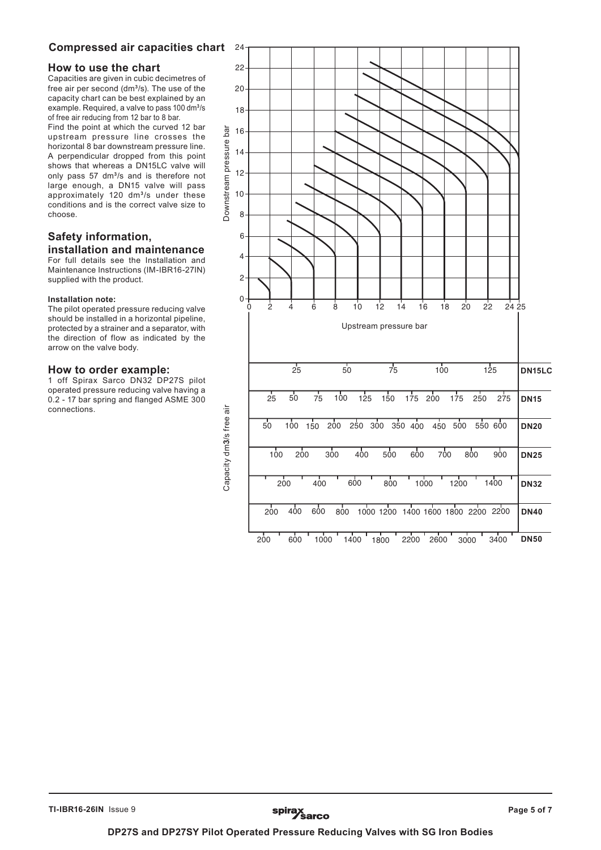# **Compressed air capacities chart**

## **How to use the chart**

Capacities are given in cubic decimetres of free air per second (dm**<sup>3</sup>**/s). The use of the capacity chart can be best explained by an example. Required, a valve to pass 100 dm**<sup>3</sup>**/s of free air reducing from 12 bar to 8 bar.

Find the point at which the curved 12 bar upstream pressure line crosses the horizontal 8 bar downstream pressure line. A perpendicular dropped from this point shows that whereas a DN15LC valve will only pass 57 dm**<sup>3</sup>**/s and is therefore not large enough, a DN15 valve will pass approximately 120 dm**<sup>3</sup>**/s under these conditions and is the correct valve size to choose.

# **Safety information, installation and maintenance**

For full details see the Installation and Maintenance Instructions (IM-IBR16-27IN) supplied with the product.

#### **Installation note:**

The pilot operated pressure reducing valve should be installed in a horizontal pipeline, protected by a strainer and a separator, with the direction of flow as indicated by the arrow on the valve body.

#### **How to order example:**

1 off Spirax Sarco DN32 DP27S pilot operated pressure reducing valve having a 0.2 - 17 bar spring and flanged ASME 300 connections.



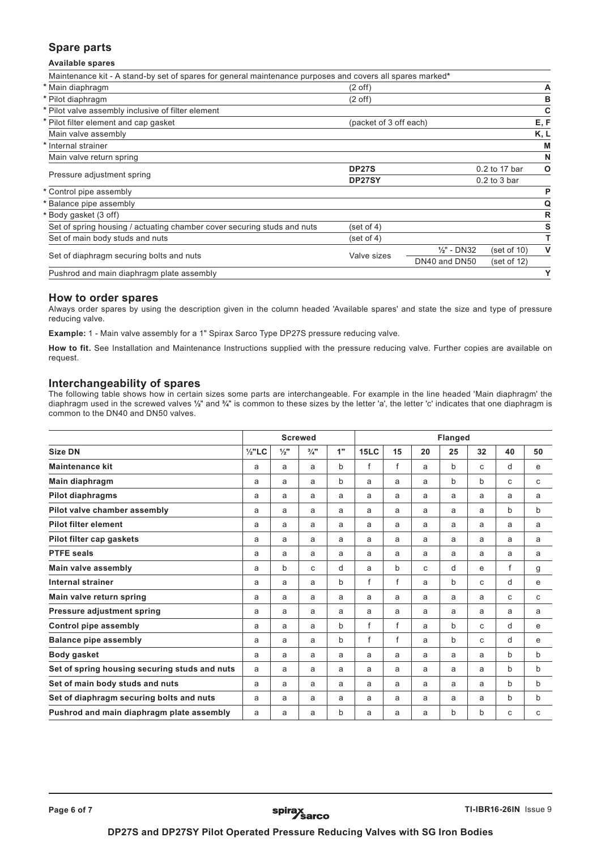# **Spare parts**

#### **Available spares**

| Maintenance kit - A stand-by set of spares for general maintenance purposes and covers all spares marked* |                        |                |                    |              |  |
|-----------------------------------------------------------------------------------------------------------|------------------------|----------------|--------------------|--------------|--|
| * Main diaphragm                                                                                          | $(2 \text{ off})$      |                |                    | A            |  |
| * Pilot diaphragm                                                                                         | $(2 \text{ off})$      |                |                    | в            |  |
| * Pilot valve assembly inclusive of filter element                                                        |                        |                |                    | C            |  |
| * Pilot filter element and cap gasket                                                                     | (packet of 3 off each) |                |                    | E, F         |  |
| Main valve assembly                                                                                       |                        |                |                    | K, L         |  |
| Internal strainer                                                                                         |                        |                |                    | M            |  |
| Main valve return spring                                                                                  |                        |                |                    | N            |  |
| Pressure adjustment spring                                                                                | <b>DP27S</b>           |                | O<br>0.2 to 17 bar |              |  |
|                                                                                                           | DP27SY                 |                | $0.2$ to $3$ bar   |              |  |
| * Control pipe assembly                                                                                   |                        |                |                    | P            |  |
| Balance pipe assembly                                                                                     |                        |                |                    | Q            |  |
| Body gasket (3 off)                                                                                       |                        |                |                    | R            |  |
| Set of spring housing / actuating chamber cover securing studs and nuts                                   | (set of 4)             |                |                    | s            |  |
| Set of main body studs and nuts                                                                           | (set of 4)             |                |                    | T            |  |
| Set of diaphragm securing bolts and nuts                                                                  | Valve sizes            | $1/2$ " - DN32 | (set of 10)        | $\mathsf{V}$ |  |
|                                                                                                           |                        | DN40 and DN50  | (set of 12)        |              |  |
| Pushrod and main diaphragm plate assembly                                                                 |                        |                |                    | Y            |  |

#### **How to order spares**

Always order spares by using the description given in the column headed 'Available spares' and state the size and type of pressure reducing valve.

**Example:** 1 - Main valve assembly for a 1" Spirax Sarco Type DP27S pressure reducing valve.

**How to fit.** See Installation and Maintenance Instructions supplied with the pressure reducing valve. Further copies are available on request.

#### **Interchangeability of spares**

The following table shows how in certain sizes some parts are interchangeable. For example in the line headed 'Main diaphragm' the diaphragm used in the screwed valves **½**" and **¾**" is common to these sizes by the letter 'a', the letter 'c' indicates that one diaphragm is common to the DN40 and DN50 valves.

|                                               | <b>Screwed</b>    |                 |                 |    | <b>Flanged</b> |             |    |    |    |    |    |
|-----------------------------------------------|-------------------|-----------------|-----------------|----|----------------|-------------|----|----|----|----|----|
| <b>Size DN</b>                                | $\frac{1}{2}$ "LC | $\frac{1}{2}$ " | $\frac{3}{4}$ " | 1" | <b>15LC</b>    | 15          | 20 | 25 | 32 | 40 | 50 |
| <b>Maintenance kit</b>                        | a                 | a               | a               | b  | f              | f           | a  | b  | C  | d  | е  |
| Main diaphragm                                | a                 | a               | a               | b  | a              | a           | a  | b  | b  | C  | C  |
| Pilot diaphragms                              | a                 | a               | a               | a  | a              | a           | a  | a  | a  | a  | a  |
| Pilot valve chamber assembly                  | a                 | a               | a               | a  | a              | a           | a  | a  | a  | b  | b  |
| <b>Pilot filter element</b>                   | a                 | a               | a               | a  | a              | a           | a  | a  | a  | a  | a  |
| Pilot filter cap gaskets                      | a                 | a               | a               | a  | a              | a           | a  | a  | a  | a  | a  |
| <b>PTFE seals</b>                             | a                 | a               | a               | a  | a              | a           | a  | a  | a  | a  | a  |
| Main valve assembly                           | a                 | b               | C               | d  | a              | $\mathbf b$ | C  | d  | e  | f  | g  |
| Internal strainer                             | a                 | a               | a               | b  | f              | f           | a  | b  | C  | d  | e  |
| Main valve return spring                      | a                 | a               | a               | a  | a              | a           | a  | a  | a  | C  | C  |
| Pressure adjustment spring                    | a                 | a               | a               | a  | a              | a           | a  | a  | a  | a  | a  |
| <b>Control pipe assembly</b>                  | a                 | a               | a               | b  | f              | f           | a  | b  | C  | d  | e  |
| <b>Balance pipe assembly</b>                  | a                 | a               | a               | b  | f              | f           | a  | b  | C  | d  | e  |
| Body gasket                                   | a                 | a               | a               | a  | a              | a           | a  | a  | a  | b  | b  |
| Set of spring housing securing studs and nuts | a                 | a               | a               | a  | a              | a           | a  | a  | a  | b  | b  |
| Set of main body studs and nuts               | a                 | a               | a               | a  | a              | a           | a  | a  | a  | b  | b  |
| Set of diaphragm securing bolts and nuts      | a                 | a               | a               | a  | a              | a           | a  | a  | a  | b  | b  |
| Pushrod and main diaphragm plate assembly     | a                 | a               | a               | b  | a              | a           | a  | b  | b  | C  | C  |